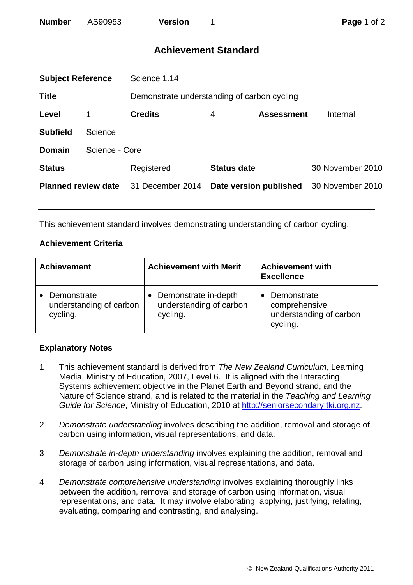| <b>Number</b> | AS90953 | <b>Version</b> |
|---------------|---------|----------------|
|               |         |                |

## **Achievement Standard**

| <b>Subject Reference</b>   |                | Science 1.14                                |                    |                        |                  |
|----------------------------|----------------|---------------------------------------------|--------------------|------------------------|------------------|
| <b>Title</b>               |                | Demonstrate understanding of carbon cycling |                    |                        |                  |
| Level                      |                | <b>Credits</b>                              | 4                  | <b>Assessment</b>      | Internal         |
| <b>Subfield</b>            | Science        |                                             |                    |                        |                  |
| Domain                     | Science - Core |                                             |                    |                        |                  |
| <b>Status</b>              |                | Registered                                  | <b>Status date</b> |                        | 30 November 2010 |
| <b>Planned review date</b> |                | 31 December 2014                            |                    | Date version published | 30 November 2010 |
|                            |                |                                             |                    |                        |                  |

This achievement standard involves demonstrating understanding of carbon cycling.

## **Achievement Criteria**

| <b>Achievement</b>                                 | <b>Achievement with Merit</b>                               | <b>Achievement with</b><br><b>Excellence</b>                        |
|----------------------------------------------------|-------------------------------------------------------------|---------------------------------------------------------------------|
| Demonstrate<br>understanding of carbon<br>cycling. | Demonstrate in-depth<br>understanding of carbon<br>cycling. | Demonstrate<br>comprehensive<br>understanding of carbon<br>cycling. |

## **Explanatory Notes**

- 1 This achievement standard is derived from *The New Zealand Curriculum,* Learning Media, Ministry of Education, 2007, Level 6. It is aligned with the Interacting Systems achievement objective in the Planet Earth and Beyond strand, and the Nature of Science strand, and is related to the material in the *Teaching and Learning Guide for Science*, Ministry of Education, 2010 at [http://seniorsecondary.tki.org.nz.](http://seniorsecondary.tki.org.nz/)
- 2 *Demonstrate understanding* involves describing the addition, removal and storage of carbon using information, visual representations, and data.
- 3 *Demonstrate in-depth understanding* involves explaining the addition, removal and storage of carbon using information, visual representations, and data.
- 4 *Demonstrate comprehensive understanding* involves explaining thoroughly links between the addition, removal and storage of carbon using information, visual representations, and data. It may involve elaborating, applying, justifying, relating, evaluating, comparing and contrasting, and analysing.